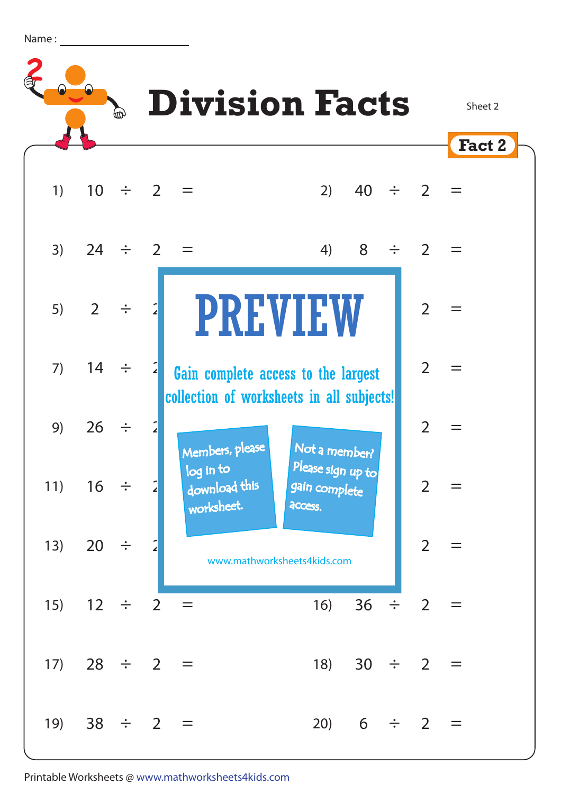